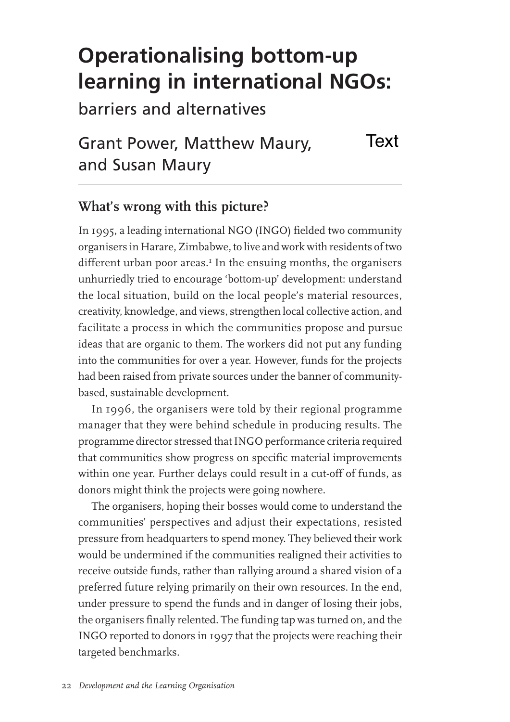# **Operationalising bottom-up learning in international NGOs:**

barriers and alternatives

# Grant Power, Matthew Maury, and Susan Maury

**Text** 

### **What's wrong with this picture?**

In 1995, a leading international NGO (INGO) fielded two community organisers in Harare, Zimbabwe, to live and work with residents of two different urban poor areas. <sup>1</sup> In the ensuing months, the organisers unhurriedly tried to encourage 'bottom-up' development: understand the local situation, build on the local people's material resources, creativity, knowledge, and views, strengthen local collective action, and facilitate a process in which the communities propose and pursue ideas that are organic to them. The workers did not put any funding into the communities for over a year. However, funds for the projects had been raised from private sources under the banner of communitybased, sustainable development.

In 1996, the organisers were told by their regional programme manager that they were behind schedule in producing results. The programme director stressed that INGO performance criteria required that communities show progress on specific material improvements within one year. Further delays could result in a cut-off of funds, as donors might think the projects were going nowhere.

The organisers, hoping their bosses would come to understand the communities' perspectives and adjust their expectations, resisted pressure from headquarters to spend money. They believed their work would be undermined if the communities realigned their activities to receive outside funds, rather than rallying around a shared vision of a preferred future relying primarily on their own resources. In the end, under pressure to spend the funds and in danger of losing their jobs, the organisers finally relented. The funding tap was turned on, and the INGO reported to donors in 1997 that the projects were reaching their targeted benchmarks.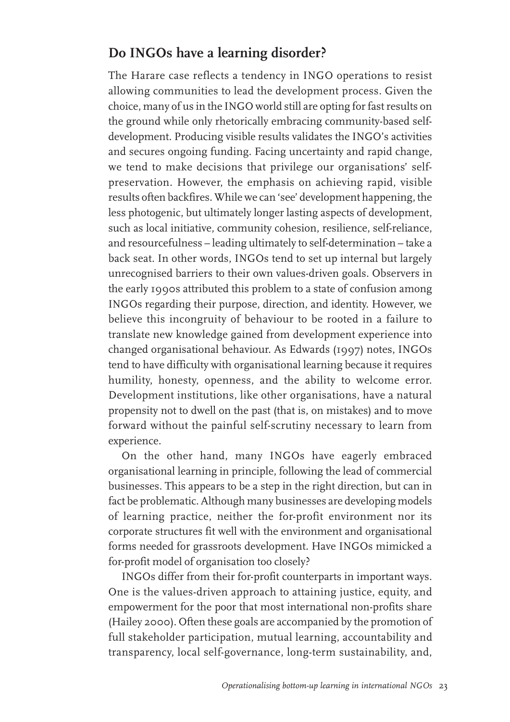#### **Do INGOs have a learning disorder?**

The Harare case reflects a tendency in INGO operations to resist allowing communities to lead the development process. Given the choice, many of us in the INGO world still are opting for fast results on the ground while only rhetorically embracing community-based selfdevelopment. Producing visible results validates the INGO's activities and secures ongoing funding. Facing uncertainty and rapid change, we tend to make decisions that privilege our organisations' selfpreservation. However, the emphasis on achieving rapid, visible results often backfires. While we can 'see' development happening, the less photogenic, but ultimately longer lasting aspects of development, such as local initiative, community cohesion, resilience, self-reliance, and resourcefulness – leading ultimately to self-determination – take a back seat. In other words, INGOs tend to set up internal but largely unrecognised barriers to their own values-driven goals. Observers in the early 1990s attributed this problem to a state of confusion among INGOs regarding their purpose, direction, and identity. However, we believe this incongruity of behaviour to be rooted in a failure to translate new knowledge gained from development experience into changed organisational behaviour. As Edwards (1997) notes, INGOs tend to have difficulty with organisational learning because it requires humility, honesty, openness, and the ability to welcome error. Development institutions, like other organisations, have a natural propensity not to dwell on the past (that is, on mistakes) and to move forward without the painful self-scrutiny necessary to learn from experience.

On the other hand, many INGOs have eagerly embraced organisational learning in principle, following the lead of commercial businesses. This appears to be a step in the right direction, but can in fact be problematic. Although many businesses are developing models of learning practice, neither the for-profit environment nor its corporate structures fit well with the environment and organisational forms needed for grassroots development. Have INGOs mimicked a for-profit model of organisation too closely?

INGOs differ from their for-profit counterparts in important ways. One is the values-driven approach to attaining justice, equity, and empowerment for the poor that most international non-profits share (Hailey 2000). Often these goals are accompanied by the promotion of full stakeholder participation, mutual learning, accountability and transparency, local self-governance, long-term sustainability, and,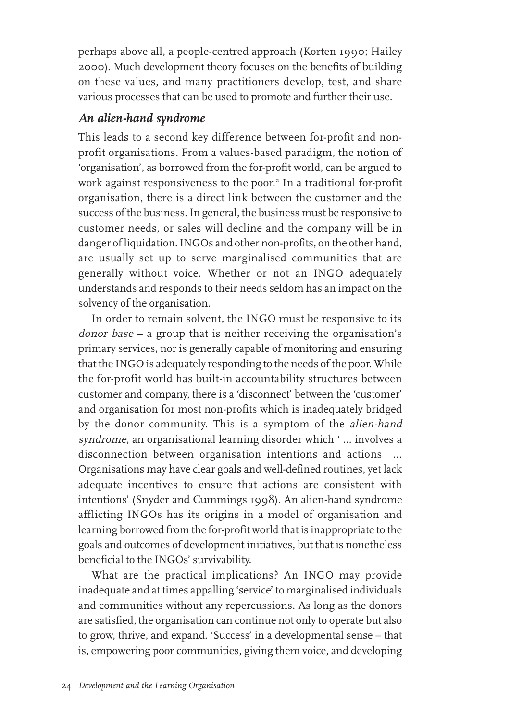perhaps above all, a people-centred approach (Korten 1990; Hailey 2000). Much development theory focuses on the benefits of building on these values, and many practitioners develop, test, and share various processes that can be used to promote and further their use.

#### *An alien-hand syndrome*

This leads to a second key difference between for-profit and nonprofit organisations. From a values-based paradigm, the notion of 'organisation', as borrowed from the for-profit world, can be argued to work against responsiveness to the poor. <sup>2</sup> In a traditional for-profit organisation, there is a direct link between the customer and the success of the business. In general, the business must be responsive to customer needs, or sales will decline and the company will be in danger of liquidation. INGOs and other non-profits, on the other hand, are usually set up to serve marginalised communities that are generally without voice. Whether or not an INGO adequately understands and responds to their needs seldom has an impact on the solvency of the organisation.

In order to remain solvent, the INGO must be responsive to its donor base – a group that is neither receiving the organisation's primary services, nor is generally capable of monitoring and ensuring that the INGO is adequately responding to the needs of the poor. While the for-profit world has built-in accountability structures between customer and company, there is a 'disconnect' between the 'customer' and organisation for most non-profits which is inadequately bridged by the donor community. This is a symptom of the alien-hand syndrome, an organisational learning disorder which ' ... involves a disconnection between organisation intentions and actions ... Organisations may have clear goals and well-defined routines, yet lack adequate incentives to ensure that actions are consistent with intentions' (Snyder and Cummings 1998). An alien-hand syndrome afflicting INGOs has its origins in a model of organisation and learning borrowed from the for-profit world that is inappropriate to the goals and outcomes of development initiatives, but that is nonetheless beneficial to the INGOs' survivability.

What are the practical implications? An INGO may provide inadequate and at times appalling 'service' to marginalised individuals and communities without any repercussions. As long as the donors are satisfied, the organisation can continue not only to operate but also to grow, thrive, and expand. 'Success' in a developmental sense – that is, empowering poor communities, giving them voice, and developing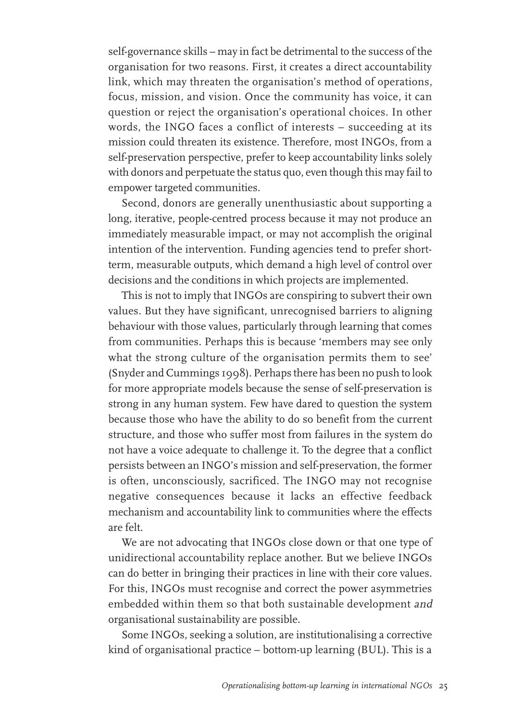self-governance skills – may in fact be detrimental to the success of the organisation for two reasons. First, it creates a direct accountability link, which may threaten the organisation's method of operations, focus, mission, and vision. Once the community has voice, it can question or reject the organisation's operational choices. In other words, the INGO faces a conflict of interests – succeeding at its mission could threaten its existence. Therefore, most INGOs, from a self-preservation perspective, prefer to keep accountability links solely with donors and perpetuate the status quo, even though this may fail to empower targeted communities.

Second, donors are generally unenthusiastic about supporting a long, iterative, people-centred process because it may not produce an immediately measurable impact, or may not accomplish the original intention of the intervention. Funding agencies tend to prefer shortterm, measurable outputs, which demand a high level of control over decisions and the conditions in which projects are implemented.

This is not to imply that INGOs are conspiring to subvert their own values. But they have significant, unrecognised barriers to aligning behaviour with those values, particularly through learning that comes from communities. Perhaps this is because 'members may see only what the strong culture of the organisation permits them to see' (Snyder and Cummings 1998). Perhaps there has been no push to look for more appropriate models because the sense of self-preservation is strong in any human system. Few have dared to question the system because those who have the ability to do so benefit from the current structure, and those who suffer most from failures in the system do not have a voice adequate to challenge it. To the degree that a conflict persists between an INGO's mission and self-preservation, the former is often, unconsciously, sacrificed. The INGO may not recognise negative consequences because it lacks an effective feedback mechanism and accountability link to communities where the effects are felt.

We are not advocating that INGOs close down or that one type of unidirectional accountability replace another. But we believe INGOs can do better in bringing their practices in line with their core values. For this, INGOs must recognise and correct the power asymmetries embedded within them so that both sustainable development and organisational sustainability are possible.

Some INGOs, seeking a solution, are institutionalising a corrective kind of organisational practice – bottom-up learning (BUL). This is a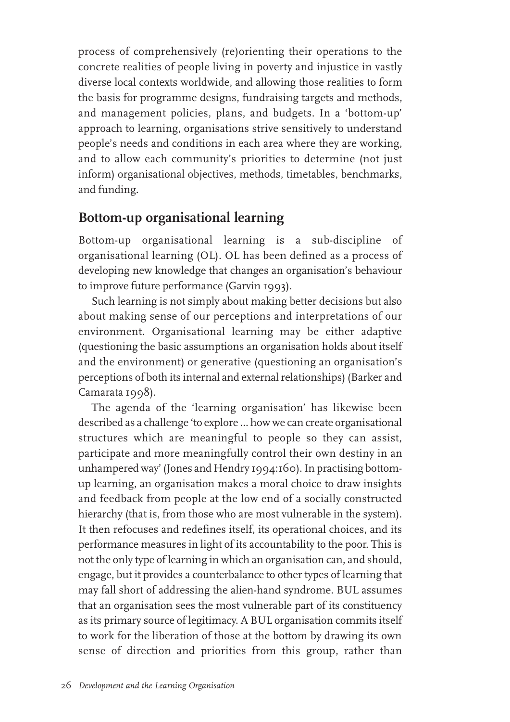process of comprehensively (re)orienting their operations to the concrete realities of people living in poverty and injustice in vastly diverse local contexts worldwide, and allowing those realities to form the basis for programme designs, fundraising targets and methods, and management policies, plans, and budgets. In a 'bottom-up' approach to learning, organisations strive sensitively to understand people's needs and conditions in each area where they are working, and to allow each community's priorities to determine (not just inform) organisational objectives, methods, timetables, benchmarks, and funding.

#### **Bottom-up organisational learning**

Bottom-up organisational learning is a sub-discipline of organisational learning (OL). OL has been defined as a process of developing new knowledge that changes an organisation's behaviour to improve future performance (Garvin 1993).

Such learning is not simply about making better decisions but also about making sense of our perceptions and interpretations of our environment. Organisational learning may be either adaptive (questioning the basic assumptions an organisation holds about itself and the environment) or generative (questioning an organisation's perceptions of both its internal and external relationships) (Barker and Camarata 1998).

The agenda of the 'learning organisation' has likewise been described as a challenge 'to explore ... how we can create organisational structures which are meaningful to people so they can assist, participate and more meaningfully control their own destiny in an unhampered way' (Jones and Hendry 1994:160). In practising bottomup learning, an organisation makes a moral choice to draw insights and feedback from people at the low end of a socially constructed hierarchy (that is, from those who are most vulnerable in the system). It then refocuses and redefines itself, its operational choices, and its performance measures in light of its accountability to the poor. This is not the only type of learning in which an organisation can, and should, engage, but it provides a counterbalance to other types of learning that may fall short of addressing the alien-hand syndrome. BUL assumes that an organisation sees the most vulnerable part of its constituency as its primary source of legitimacy. A BUL organisation commits itself to work for the liberation of those at the bottom by drawing its own sense of direction and priorities from this group, rather than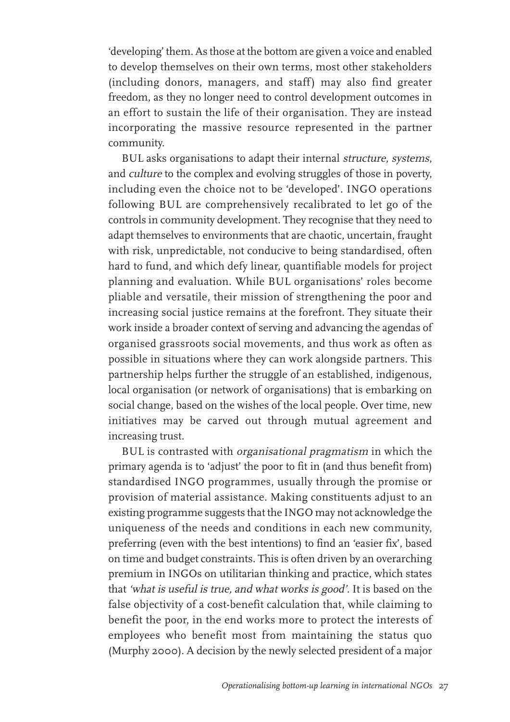'developing' them. As those at the bottom are given a voice and enabled to develop themselves on their own terms, most other stakeholders (including donors, managers, and staff) may also find greater freedom, as they no longer need to control development outcomes in an effort to sustain the life of their organisation. They are instead incorporating the massive resource represented in the partner community.

BUL asks organisations to adapt their internal structure, systems, and culture to the complex and evolving struggles of those in poverty, including even the choice not to be 'developed'. INGO operations following BUL are comprehensively recalibrated to let go of the controls in community development. They recognise that they need to adapt themselves to environments that are chaotic, uncertain, fraught with risk, unpredictable, not conducive to being standardised, often hard to fund, and which defy linear, quantifiable models for project planning and evaluation. While BUL organisations' roles become pliable and versatile, their mission of strengthening the poor and increasing social justice remains at the forefront. They situate their work inside a broader context of serving and advancing the agendas of organised grassroots social movements, and thus work as often as possible in situations where they can work alongside partners. This partnership helps further the struggle of an established, indigenous, local organisation (or network of organisations) that is embarking on social change, based on the wishes of the local people. Over time, new initiatives may be carved out through mutual agreement and increasing trust.

BUL is contrasted with organisational pragmatism in which the primary agenda is to 'adjust' the poor to fit in (and thus benefit from) standardised INGO programmes, usually through the promise or provision of material assistance. Making constituents adjust to an existing programme suggests that the INGO may not acknowledge the uniqueness of the needs and conditions in each new community, preferring (even with the best intentions) to find an 'easier fix', based on time and budget constraints. This is often driven by an overarching premium in INGOs on utilitarian thinking and practice, which states that 'what is useful is true, and what works is good'. It is based on the false objectivity of a cost-benefit calculation that, while claiming to benefit the poor, in the end works more to protect the interests of employees who benefit most from maintaining the status quo (Murphy 2000). A decision by the newly selected president of a major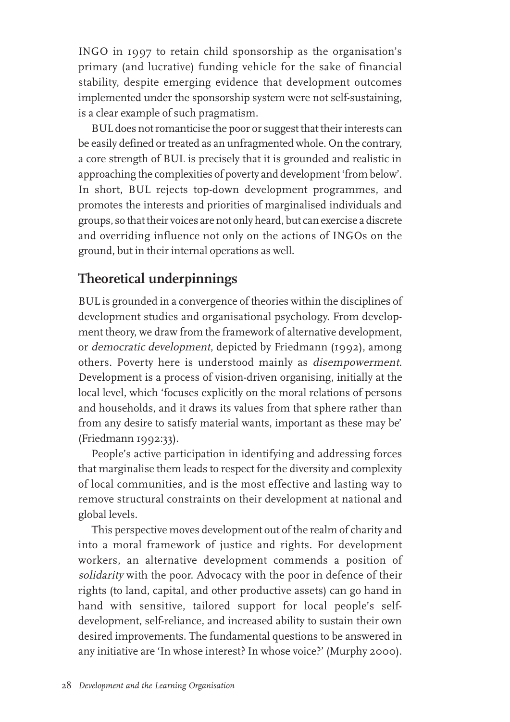INGO in 1997 to retain child sponsorship as the organisation's primary (and lucrative) funding vehicle for the sake of financial stability, despite emerging evidence that development outcomes implemented under the sponsorship system were not self-sustaining, is a clear example of such pragmatism.

BUL does not romanticise the poor or suggest that their interests can be easily defined or treated as an unfragmented whole. On the contrary, a core strength of BUL is precisely that it is grounded and realistic in approaching the complexities of poverty and development 'from below'. In short, BUL rejects top-down development programmes, and promotes the interests and priorities of marginalised individuals and groups, so that their voices are not only heard, but can exercise a discrete and overriding influence not only on the actions of INGOs on the ground, but in their internal operations as well.

## **Theoretical underpinnings**

BUL is grounded in a convergence of theories within the disciplines of development studies and organisational psychology. From development theory, we draw from the framework of alternative development, or democratic development, depicted by Friedmann (1992), among others. Poverty here is understood mainly as disempowerment. Development is a process of vision-driven organising, initially at the local level, which 'focuses explicitly on the moral relations of persons and households, and it draws its values from that sphere rather than from any desire to satisfy material wants, important as these may be' (Friedmann 1992:33).

People's active participation in identifying and addressing forces that marginalise them leads to respect for the diversity and complexity of local communities, and is the most effective and lasting way to remove structural constraints on their development at national and global levels.

This perspective moves development out of the realm of charity and into a moral framework of justice and rights. For development workers, an alternative development commends a position of solidarity with the poor. Advocacy with the poor in defence of their rights (to land, capital, and other productive assets) can go hand in hand with sensitive, tailored support for local people's selfdevelopment, self-reliance, and increased ability to sustain their own desired improvements. The fundamental questions to be answered in any initiative are 'In whose interest? In whose voice?' (Murphy 2000).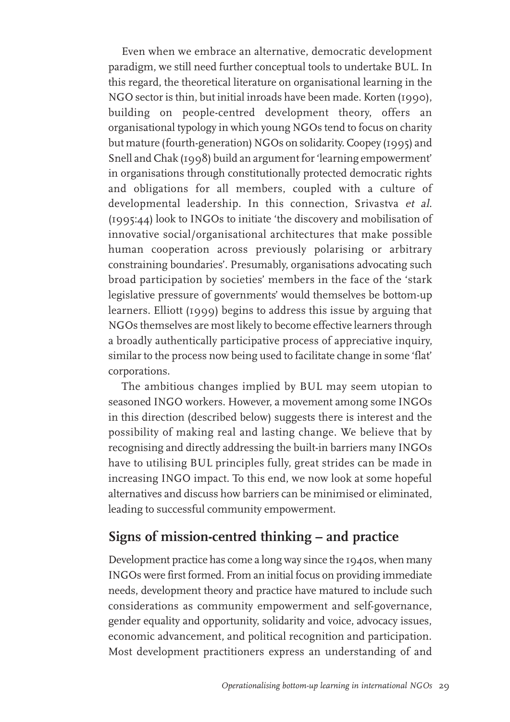Even when we embrace an alternative, democratic development paradigm, we still need further conceptual tools to undertake BUL. In this regard, the theoretical literature on organisational learning in the NGO sector is thin, but initial inroads have been made. Korten (1990), building on people-centred development theory, offers an organisational typology in which young NGOs tend to focus on charity but mature (fourth-generation) NGOs on solidarity. Coopey (1995) and Snell and Chak (1998) build an argument for 'learning empowerment' in organisations through constitutionally protected democratic rights and obligations for all members, coupled with a culture of developmental leadership. In this connection, Srivastva et al. (1995:44) look to INGOs to initiate 'the discovery and mobilisation of innovative social/organisational architectures that make possible human cooperation across previously polarising or arbitrary constraining boundaries'. Presumably, organisations advocating such broad participation by societies' members in the face of the 'stark legislative pressure of governments' would themselves be bottom-up learners. Elliott (1999) begins to address this issue by arguing that NGOs themselves are most likely to become effective learners through a broadly authentically participative process of appreciative inquiry, similar to the process now being used to facilitate change in some 'flat' corporations.

The ambitious changes implied by BUL may seem utopian to seasoned INGO workers. However, a movement among some INGOs in this direction (described below) suggests there is interest and the possibility of making real and lasting change. We believe that by recognising and directly addressing the built-in barriers many INGOs have to utilising BUL principles fully, great strides can be made in increasing INGO impact. To this end, we now look at some hopeful alternatives and discuss how barriers can be minimised or eliminated, leading to successful community empowerment.

#### **Signs of mission-centred thinking – and practice**

Development practice has come a long way since the 1940s, when many INGOs were first formed. From an initial focus on providing immediate needs, development theory and practice have matured to include such considerations as community empowerment and self-governance, gender equality and opportunity, solidarity and voice, advocacy issues, economic advancement, and political recognition and participation. Most development practitioners express an understanding of and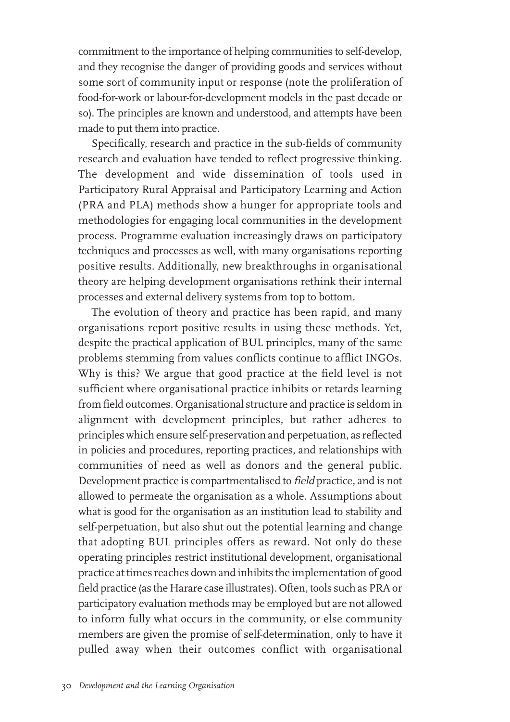commitment to the importance of helping communities to self-develop, and they recognise the danger of providing goods and services without some sort of community input or response (note the proliferation of food-for-work or labour-for-development models in the past decade or so). The principles are known and understood, and attempts have been made to put them into practice.

Specifically, research and practice in the sub-fields of community research and evaluation have tended to reflect progressive thinking. The development and wide dissemination of tools used in Participatory Rural Appraisal and Participatory Learning and Action (PRA and PLA) methods show a hunger for appropriate tools and methodologies for engaging local communities in the development process. Programme evaluation increasingly draws on participatory techniques and processes as well, with many organisations reporting positive results. Additionally, new breakthroughs in organisational theory are helping development organisations rethink their internal processes and external delivery systems from top to bottom.

The evolution of theory and practice has been rapid, and many organisations report positive results in using these methods. Yet, despite the practical application of BUL principles, many of the same problems stemming from values conflicts continue to afflict INGOs. Why is this? We argue that good practice at the field level is not sufficient where organisational practice inhibits or retards learning from field outcomes. Organisational structure and practice is seldom in alignment with development principles, but rather adheres to principles which ensure self-preservation and perpetuation, as reflected in policies and procedures, reporting practices, and relationships with communities of need as well as donors and the general public. Development practice is compartmentalised to field practice, and is not allowed to permeate the organisation as a whole. Assumptions about what is good for the organisation as an institution lead to stability and self-perpetuation, but also shut out the potential learning and change that adopting BUL principles offers as reward. Not only do these operating principles restrict institutional development, organisational practice at times reaches down and inhibits the implementation of good field practice (as the Harare case illustrates). Often, tools such as PRAor participatory evaluation methods may be employed but are not allowed to inform fully what occurs in the community, or else community members are given the promise of self-determination, only to have it pulled away when their outcomes conflict with organisational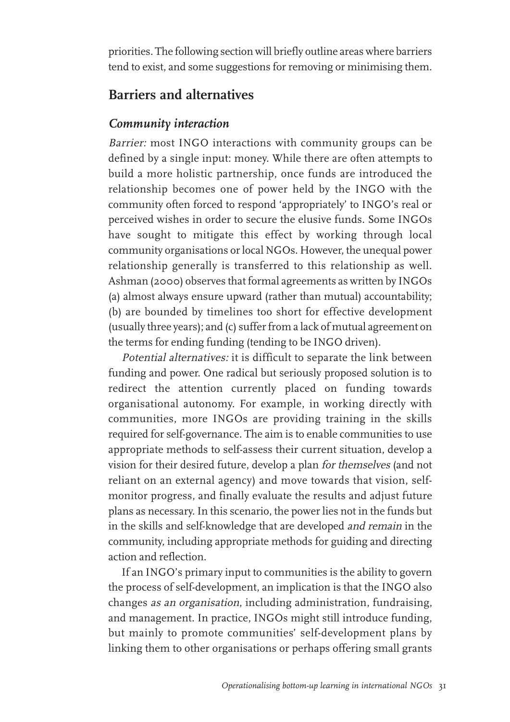priorities. The following section will briefly outline areas where barriers tend to exist, and some suggestions for removing or minimising them.

#### **Barriers and alternatives**

#### *Community interaction*

Barrier: most INGO interactions with community groups can be defined by a single input: money. While there are often attempts to build a more holistic partnership, once funds are introduced the relationship becomes one of power held by the INGO with the community often forced to respond 'appropriately' to INGO's real or perceived wishes in order to secure the elusive funds. Some INGOs have sought to mitigate this effect by working through local community organisations or local NGOs. However, the unequal power relationship generally is transferred to this relationship as well. Ashman (2000) observes that formal agreements as written by INGOs (a) almost always ensure upward (rather than mutual) accountability; (b) are bounded by timelines too short for effective development (usually three years); and (c) suffer from a lack of mutual agreement on the terms for ending funding (tending to be INGO driven).

Potential alternatives: it is difficult to separate the link between funding and power. One radical but seriously proposed solution is to redirect the attention currently placed on funding towards organisational autonomy. For example, in working directly with communities, more INGOs are providing training in the skills required for self-governance. The aim is to enable communities to use appropriate methods to self-assess their current situation, develop a vision for their desired future, develop a plan for themselves (and not reliant on an external agency) and move towards that vision, selfmonitor progress, and finally evaluate the results and adjust future plans as necessary. In this scenario, the power lies not in the funds but in the skills and self-knowledge that are developed and remain in the community, including appropriate methods for guiding and directing action and reflection.

If an INGO's primary input to communities is the ability to govern the process of self-development, an implication is that the INGO also changes as an organisation, including administration, fundraising, and management. In practice, INGOs might still introduce funding, but mainly to promote communities' self-development plans by linking them to other organisations or perhaps offering small grants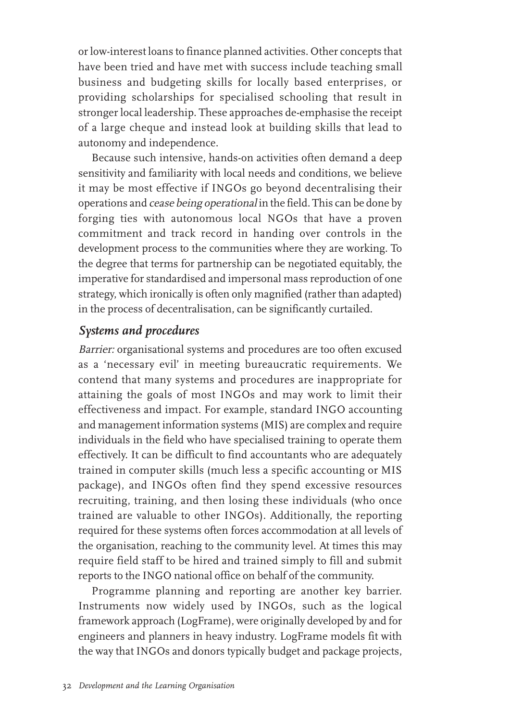or low-interest loans to finance planned activities. Other concepts that have been tried and have met with success include teaching small business and budgeting skills for locally based enterprises, or providing scholarships for specialised schooling that result in stronger local leadership. These approaches de-emphasise the receipt of a large cheque and instead look at building skills that lead to autonomy and independence.

Because such intensive, hands-on activities often demand a deep sensitivity and familiarity with local needs and conditions, we believe it may be most effective if INGOs go beyond decentralising their operations and cease being operational in the field. This can be done by forging ties with autonomous local NGOs that have a proven commitment and track record in handing over controls in the development process to the communities where they are working. To the degree that terms for partnership can be negotiated equitably, the imperative for standardised and impersonal mass reproduction of one strategy, which ironically is often only magnified (rather than adapted) in the process of decentralisation, can be significantly curtailed.

#### *Systems and procedures*

Barrier: organisational systems and procedures are too often excused as a 'necessary evil' in meeting bureaucratic requirements. We contend that many systems and procedures are inappropriate for attaining the goals of most INGOs and may work to limit their effectiveness and impact. For example, standard INGO accounting and management information systems (MIS) are complex and require individuals in the field who have specialised training to operate them effectively. It can be difficult to find accountants who are adequately trained in computer skills (much less a specific accounting or MIS package), and INGOs often find they spend excessive resources recruiting, training, and then losing these individuals (who once trained are valuable to other INGOs). Additionally, the reporting required for these systems often forces accommodation at all levels of the organisation, reaching to the community level. At times this may require field staff to be hired and trained simply to fill and submit reports to the INGO national office on behalf of the community.

Programme planning and reporting are another key barrier. Instruments now widely used by INGOs, such as the logical framework approach (LogFrame), were originally developed by and for engineers and planners in heavy industry. LogFrame models fit with the way that INGOs and donors typically budget and package projects,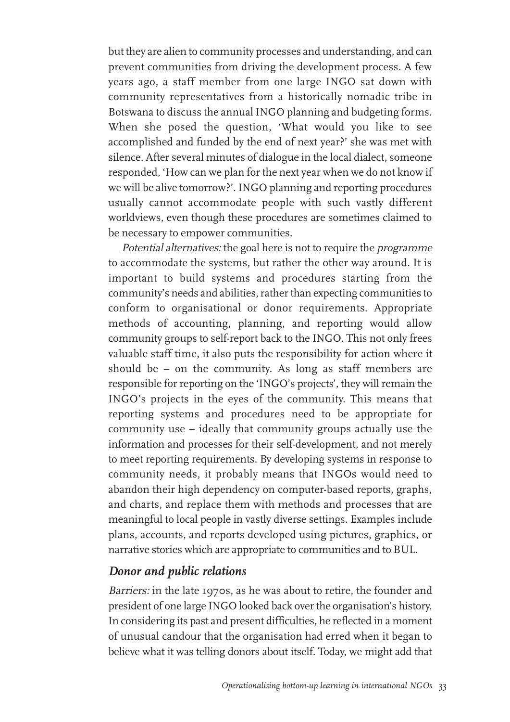but they are alien to community processes and understanding, and can prevent communities from driving the development process. A few years ago, a staff member from one large INGO sat down with community representatives from a historically nomadic tribe in Botswana to discuss the annual INGO planning and budgeting forms. When she posed the question, 'What would you like to see accomplished and funded by the end of next year?' she was met with silence. After several minutes of dialogue in the local dialect, someone responded, 'How can we plan for the next year when we do not know if we will be alive tomorrow?'. INGO planning and reporting procedures usually cannot accommodate people with such vastly different worldviews, even though these procedures are sometimes claimed to be necessary to empower communities.

Potential alternatives: the goal here is not to require the programme to accommodate the systems, but rather the other way around. It is important to build systems and procedures starting from the community's needs and abilities, rather than expecting communities to conform to organisational or donor requirements. Appropriate methods of accounting, planning, and reporting would allow community groups to self-report back to the INGO. This not only frees valuable staff time, it also puts the responsibility for action where it should be – on the community. As long as staff members are responsible for reporting on the 'INGO's projects', they will remain the INGO's projects in the eyes of the community. This means that reporting systems and procedures need to be appropriate for community use – ideally that community groups actually use the information and processes for their self-development, and not merely to meet reporting requirements. By developing systems in response to community needs, it probably means that INGOs would need to abandon their high dependency on computer-based reports, graphs, and charts, and replace them with methods and processes that are meaningful to local people in vastly diverse settings. Examples include plans, accounts, and reports developed using pictures, graphics, or narrative stories which are appropriate to communities and to BUL.

#### *Donor and public relations*

Barriers: in the late 1970s, as he was about to retire, the founder and president of one large INGO looked back over the organisation's history. In considering its past and present difficulties, he reflected in a moment of unusual candour that the organisation had erred when it began to believe what it was telling donors about itself. Today, we might add that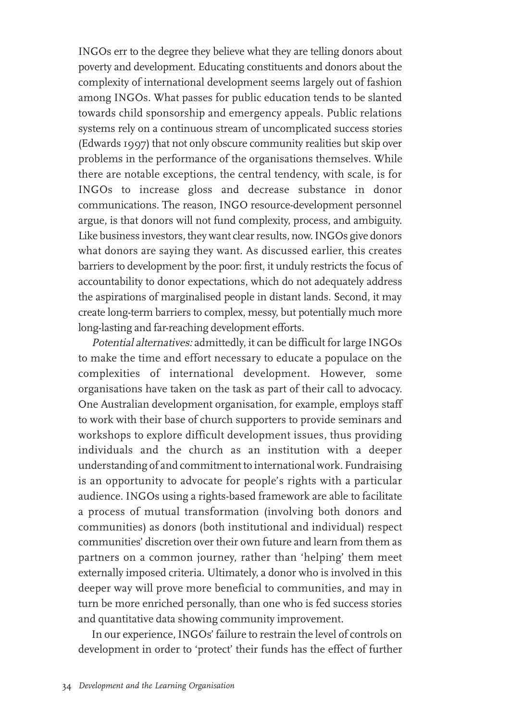INGOs err to the degree they believe what they are telling donors about poverty and development. Educating constituents and donors about the complexity of international development seems largely out of fashion among INGOs. What passes for public education tends to be slanted towards child sponsorship and emergency appeals. Public relations systems rely on a continuous stream of uncomplicated success stories (Edwards 1997) that not only obscure community realities but skip over problems in the performance of the organisations themselves. While there are notable exceptions, the central tendency, with scale, is for INGOs to increase gloss and decrease substance in donor communications. The reason, INGO resource-development personnel argue, is that donors will not fund complexity, process, and ambiguity. Like business investors, they want clear results, now. INGOs give donors what donors are saying they want. As discussed earlier, this creates barriers to development by the poor: first, it unduly restricts the focus of accountability to donor expectations, which do not adequately address the aspirations of marginalised people in distant lands. Second, it may create long-term barriers to complex, messy, but potentially much more long-lasting and far-reaching development efforts.

Potential alternatives: admittedly, it can be difficult for large INGOs to make the time and effort necessary to educate a populace on the complexities of international development. However, some organisations have taken on the task as part of their call to advocacy. One Australian development organisation, for example, employs staff to work with their base of church supporters to provide seminars and workshops to explore difficult development issues, thus providing individuals and the church as an institution with a deeper understanding of and commitment to international work. Fundraising is an opportunity to advocate for people's rights with a particular audience. INGOs using a rights-based framework are able to facilitate a process of mutual transformation (involving both donors and communities) as donors (both institutional and individual) respect communities' discretion over their own future and learn from them as partners on a common journey, rather than 'helping' them meet externally imposed criteria. Ultimately, a donor who is involved in this deeper way will prove more beneficial to communities, and may in turn be more enriched personally, than one who is fed success stories and quantitative data showing community improvement.

In our experience, INGOs' failure to restrain the level of controls on development in order to 'protect' their funds has the effect of further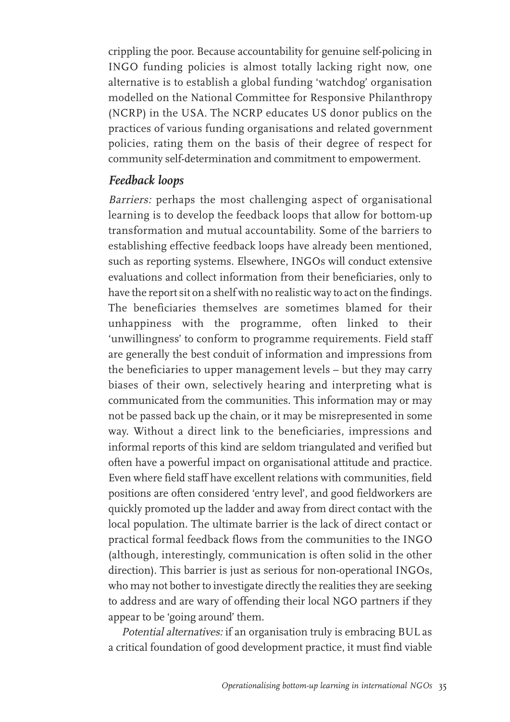crippling the poor. Because accountability for genuine self-policing in INGO funding policies is almost totally lacking right now, one alternative is to establish a global funding 'watchdog' organisation modelled on the National Committee for Responsive Philanthropy (NCRP) in the USA. The NCRP educates US donor publics on the practices of various funding organisations and related government policies, rating them on the basis of their degree of respect for community self-determination and commitment to empowerment.

#### *Feedback loops*

Barriers: perhaps the most challenging aspect of organisational learning is to develop the feedback loops that allow for bottom-up transformation and mutual accountability. Some of the barriers to establishing effective feedback loops have already been mentioned, such as reporting systems. Elsewhere, INGOs will conduct extensive evaluations and collect information from their beneficiaries, only to have the report sit on a shelf with no realistic way to act on the findings. The beneficiaries themselves are sometimes blamed for their unhappiness with the programme, often linked to their 'unwillingness' to conform to programme requirements. Field staff are generally the best conduit of information and impressions from the beneficiaries to upper management levels – but they may carry biases of their own, selectively hearing and interpreting what is communicated from the communities. This information may or may not be passed back up the chain, or it may be misrepresented in some way. Without a direct link to the beneficiaries, impressions and informal reports of this kind are seldom triangulated and verified but often have a powerful impact on organisational attitude and practice. Even where field staff have excellent relations with communities, field positions are often considered 'entry level', and good fieldworkers are quickly promoted up the ladder and away from direct contact with the local population. The ultimate barrier is the lack of direct contact or practical formal feedback flows from the communities to the INGO (although, interestingly, communication is often solid in the other direction). This barrier is just as serious for non-operational INGOs, who may not bother to investigate directly the realities they are seeking to address and are wary of offending their local NGO partners if they appear to be 'going around' them.

Potential alternatives: if an organisation truly is embracing BUL as a critical foundation of good development practice, it must find viable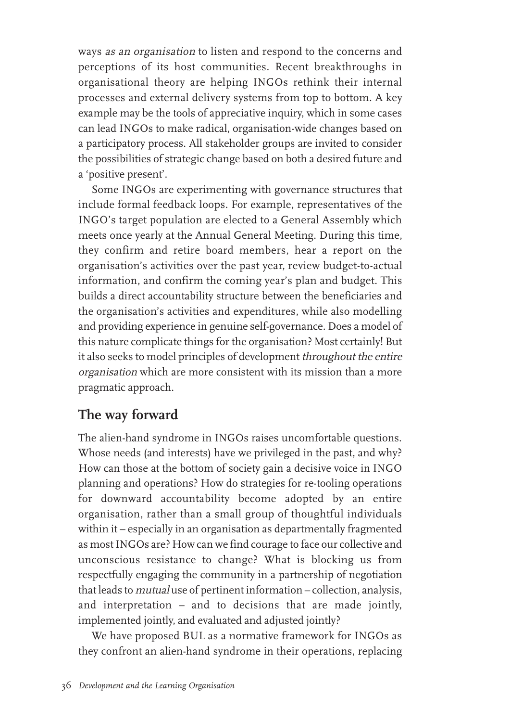ways as an organisation to listen and respond to the concerns and perceptions of its host communities. Recent breakthroughs in organisational theory are helping INGOs rethink their internal processes and external delivery systems from top to bottom. A key example may be the tools of appreciative inquiry, which in some cases can lead INGOs to make radical, organisation-wide changes based on a participatory process. All stakeholder groups are invited to consider the possibilities of strategic change based on both a desired future and a 'positive present'.

Some INGOs are experimenting with governance structures that include formal feedback loops. For example, representatives of the INGO's target population are elected to a General Assembly which meets once yearly at the Annual General Meeting. During this time, they confirm and retire board members, hear a report on the organisation's activities over the past year, review budget-to-actual information, and confirm the coming year's plan and budget. This builds a direct accountability structure between the beneficiaries and the organisation's activities and expenditures, while also modelling and providing experience in genuine self-governance. Does a model of this nature complicate things for the organisation? Most certainly! But it also seeks to model principles of development throughout the entire organisation which are more consistent with its mission than a more pragmatic approach.

#### **The way forward**

The alien-hand syndrome in INGOs raises uncomfortable questions. Whose needs (and interests) have we privileged in the past, and why? How can those at the bottom of society gain a decisive voice in INGO planning and operations? How do strategies for re-tooling operations for downward accountability become adopted by an entire organisation, rather than a small group of thoughtful individuals within it – especially in an organisation as departmentally fragmented as most INGOs are? How can we find courage to face our collective and unconscious resistance to change? What is blocking us from respectfully engaging the community in a partnership of negotiation that leads to mutual use of pertinent information – collection, analysis, and interpretation – and to decisions that are made jointly, implemented jointly, and evaluated and adjusted jointly?

We have proposed BUL as a normative framework for INGOs as they confront an alien-hand syndrome in their operations, replacing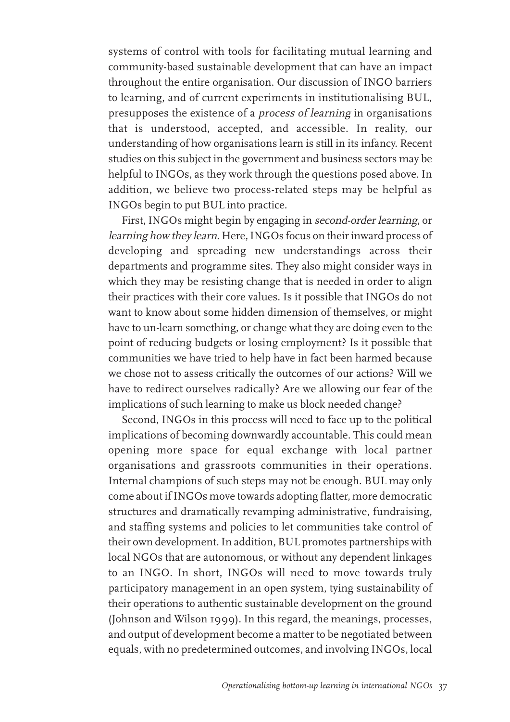systems of control with tools for facilitating mutual learning and community-based sustainable development that can have an impact throughout the entire organisation. Our discussion of INGO barriers to learning, and of current experiments in institutionalising BUL, presupposes the existence of a process of learning in organisations that is understood, accepted, and accessible. In reality, our understanding of how organisations learn is still in its infancy. Recent studies on this subject in the government and business sectors may be helpful to INGOs, as they work through the questions posed above. In addition, we believe two process-related steps may be helpful as INGOs begin to put BUL into practice.

First, INGOs might begin by engaging in second-order learning, or learning how they learn. Here, INGOs focus on their inward process of developing and spreading new understandings across their departments and programme sites. They also might consider ways in which they may be resisting change that is needed in order to align their practices with their core values. Is it possible that INGOs do not want to know about some hidden dimension of themselves, or might have to un-learn something, or change what they are doing even to the point of reducing budgets or losing employment? Is it possible that communities we have tried to help have in fact been harmed because we chose not to assess critically the outcomes of our actions? Will we have to redirect ourselves radically? Are we allowing our fear of the implications of such learning to make us block needed change?

Second, INGOs in this process will need to face up to the political implications of becoming downwardly accountable. This could mean opening more space for equal exchange with local partner organisations and grassroots communities in their operations. Internal champions of such steps may not be enough. BUL may only come about ifINGOs move towards adopting flatter, more democratic structures and dramatically revamping administrative, fundraising, and staffing systems and policies to let communities take control of their own development.In addition, BUL promotes partnerships with local NGOs that are autonomous, or without any dependent linkages to an INGO. In short, INGOs will need to move towards truly participatory management in an open system, tying sustainability of their operations to authentic sustainable development on the ground (Johnson and Wilson 1999). In this regard, the meanings, processes, and output of development become a matter to be negotiated between equals, with no predetermined outcomes, and involving INGOs, local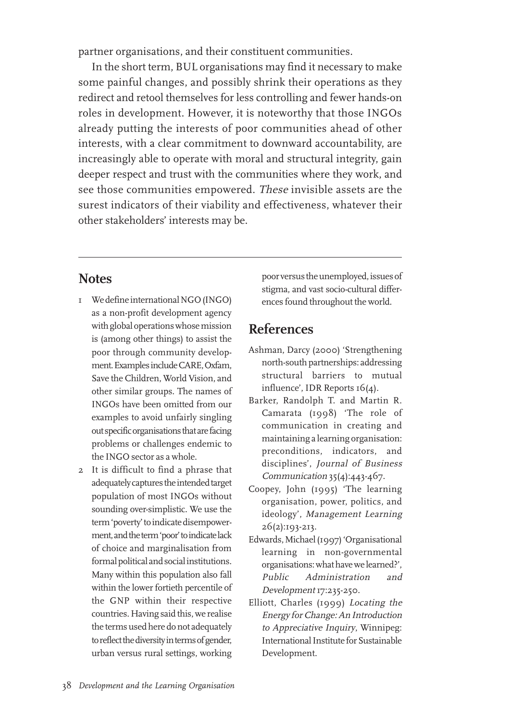partner organisations, and their constituent communities.

In the short term, BUL organisations may find it necessary to make some painful changes, and possibly shrink their operations as they redirect and retool themselves for less controlling and fewer hands-on roles in development. However, it is noteworthy that those INGOs already putting the interests of poor communities ahead of other interests, with a clear commitment to downward accountability, are increasingly able to operate with moral and structural integrity, gain deeper respect and trust with the communities where they work, and see those communities empowered. These invisible assets are the surest indicators of their viability and effectiveness, whatever their other stakeholders' interests may be.

#### **Notes**

- 1 We define international NGO (INGO) as a non-profit development agency with global operations whose mission is (among other things) to assist the poor through community development.ExamplesincludeCARE,Oxfam, Save the Children, World Vision, and other similar groups. The names of INGOs have been omitted from our examples to avoid unfairly singling out specific organisations that are facing problems or challenges endemic to the INGO sector as a whole.
- 2 It is difficult to find a phrase that adequately captures the intended target population of most INGOs without sounding over-simplistic. We use the term 'poverty' to indicate disempowerment, and the term 'poor' to indicate lack of choice and marginalisation from formal political and social institutions. Many within this population also fall within the lower fortieth percentile of the GNP within their respective countries. Having said this, we realise the terms used here do not adequately to reflect the diversity in terms of gender, urban versus rural settings, working

poor versus the unemployed, issues of stigma, and vast socio-cultural differences found throughout the world.

#### **References**

- Ashman, Darcy (2000) 'Strengthening north-south partnerships: addressing structural barriers to mutual influence', IDR Reports 16(4).
- Barker, Randolph T. and Martin R. Camarata (1998) 'The role of communication in creating and maintaining a learning organisation: preconditions, indicators, and disciplines', Journal of Business Communication 35(4):443-467.
- Coopey, John (1995) 'The learning organisation, power, politics, and ideology', Management Learning 26(2):193-213.
- Edwards, Michael (1997) 'Organisational learning in non-governmental organisations:whathavewe learned?', Public Administration and Development 17:235-250.
- Elliott, Charles (1999) Locating the Energy for Change: An Introduction to Appreciative Inquiry, Winnipeg: International Institute for Sustainable Development.